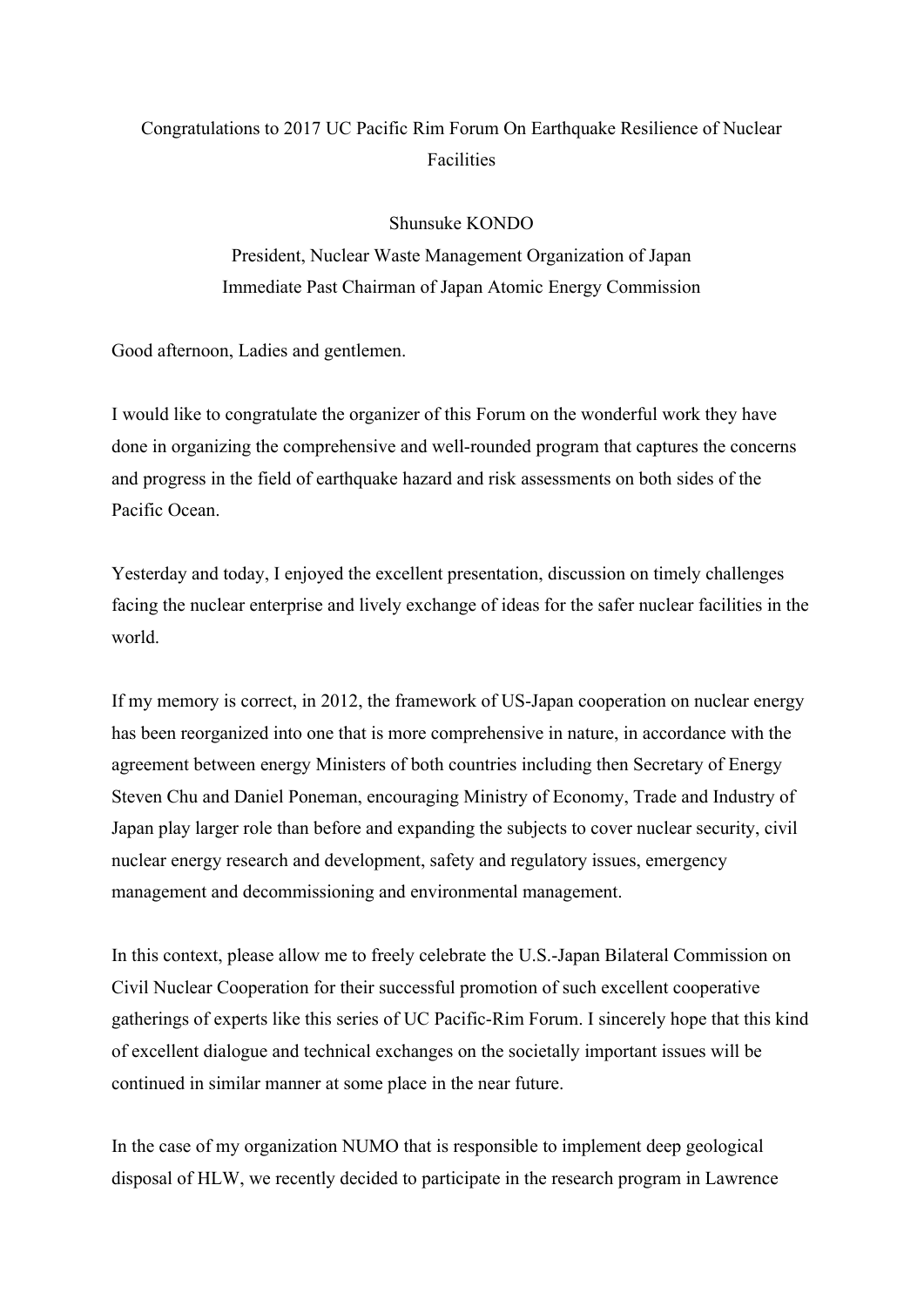## Congratulations to 2017 UC Pacific Rim Forum On Earthquake Resilience of Nuclear Facilities

## Shunsuke KONDO

President, Nuclear Waste Management Organization of Japan Immediate Past Chairman of Japan Atomic Energy Commission

Good afternoon, Ladies and gentlemen.

I would like to congratulate the organizer of this Forum on the wonderful work they have done in organizing the comprehensive and well-rounded program that captures the concerns and progress in the field of earthquake hazard and risk assessments on both sides of the Pacific Ocean.

Yesterday and today, I enjoyed the excellent presentation, discussion on timely challenges facing the nuclear enterprise and lively exchange of ideas for the safer nuclear facilities in the world.

If my memory is correct, in 2012, the framework of US-Japan cooperation on nuclear energy has been reorganized into one that is more comprehensive in nature, in accordance with the agreement between energy Ministers of both countries including then Secretary of Energy Steven Chu and Daniel Poneman, encouraging Ministry of Economy, Trade and Industry of Japan play larger role than before and expanding the subjects to cover nuclear security, civil nuclear energy research and development, safety and regulatory issues, emergency management and decommissioning and environmental management.

In this context, please allow me to freely celebrate the U.S.-Japan Bilateral Commission on Civil Nuclear Cooperation for their successful promotion of such excellent cooperative gatherings of experts like this series of UC Pacific-Rim Forum. I sincerely hope that this kind of excellent dialogue and technical exchanges on the societally important issues will be continued in similar manner at some place in the near future.

In the case of my organization NUMO that is responsible to implement deep geological disposal of HLW, we recently decided to participate in the research program in Lawrence